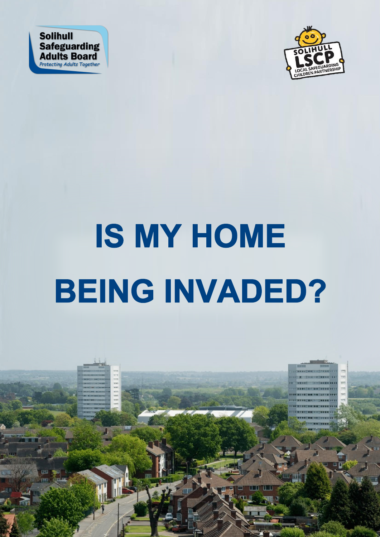



# **IS MY HOME BEING INVADED?**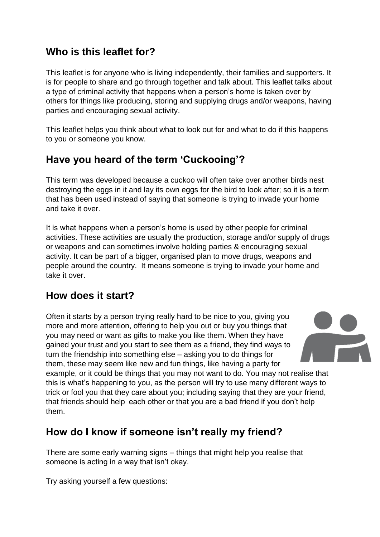#### **Who is this leaflet for?**

This leaflet is for anyone who is living independently, their families and supporters. It is for people to share and go through together and talk about. This leaflet talks about a type of criminal activity that happens when a person's home is taken over by others for things like producing, storing and supplying drugs and/or weapons, having parties and encouraging sexual activity.

This leaflet helps you think about what to look out for and what to do if this happens to you or someone you know.

## **Have you heard of the term 'Cuckooing'?**

This term was developed because a cuckoo will often take over another birds nest destroying the eggs in it and lay its own eggs for the bird to look after; so it is a term that has been used instead of saying that someone is trying to invade your home and take it over.

It is what happens when a person's home is used by other people for criminal activities. These activities are usually the production, storage and/or supply of drugs or weapons and can sometimes involve holding parties & encouraging sexual activity. It can be part of a bigger, organised plan to move drugs, weapons and people around the country. It means someone is trying to invade your home and take it over.

## **How does it start?**

Often it starts by a person trying really hard to be nice to you, giving you more and more attention, offering to help you out or buy you things that you may need or want as gifts to make you like them. When they have gained your trust and you start to see them as a friend, they find ways to turn the friendship into something else – asking you to do things for them, these may seem like new and fun things, like having a party for



example, or it could be things that you may not want to do. You may not realise that this is what's happening to you, as the person will try to use many different ways to trick or fool you that they care about you; including saying that they are your friend, that friends should help each other or that you are a bad friend if you don't help them.

## **How do I know if someone isn't really my friend?**

There are some early warning signs – things that might help you realise that someone is acting in a way that isn't okay.

Try asking yourself a few questions: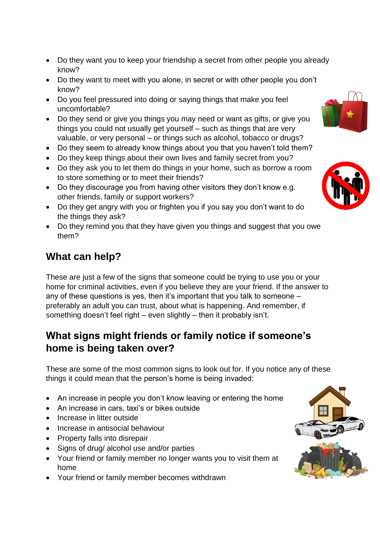- Do they want you to keep your friendship a secret from other people you already know?
- Do they want to meet with you alone, in secret or with other people you don't know?
- Do you feel pressured into doing or saying things that make you feel uncomfortable?
- Do they send or give you things you may need or want as gifts, or give you things you could not usually get yourself – such as things that are very valuable, or very personal – or things such as alcohol, tobacco or drugs?
- Do they seem to already know things about you that you haven't told them?
- Do they keep things about their own lives and family secret from you?
- Do they ask you to let them do things in your home, such as borrow a room to store something or to meet their friends?
- Do they discourage you from having other visitors they don't know e.g. other friends, family or support workers?
- Do they get angry with you or frighten you if you say you don't want to do the things they ask?
- Do they remind you that they have given you things and suggest that you owe them?

#### **What can help?**

These are just a few of the signs that someone could be trying to use you or your home for criminal activities, even if you believe they are your friend. If the answer to any of these questions is yes, then it's important that you talk to someone – preferably an adult you can trust, about what is happening. And remember, if something doesn't feel right – even slightly – then it probably isn't.

## **What signs might friends or family notice if someone's home is being taken over?**

These are some of the most common signs to look out for. If you notice any of these things it could mean that the person's home is being invaded:

- An increase in people you don't know leaving or entering the home
- An increase in cars, taxi's or bikes outside
- Increase in litter outside
- Increase in antisocial behaviour
- Property falls into disrepair
- Signs of drug/ alcohol use and/or parties
- Your friend or family member no longer wants you to visit them at home
- Your friend or family member becomes withdrawn





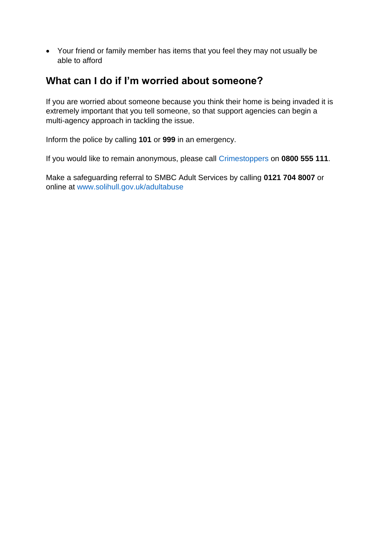Your friend or family member has items that you feel they may not usually be able to afford

#### **What can I do if I'm worried about someone?**

If you are worried about someone because you think their home is being invaded it is extremely important that you tell someone, so that support agencies can begin a multi-agency approach in tackling the issue.

Inform the police by calling **101** or **999** in an emergency.

If you would like to remain anonymous, please call [Crimestoppers](https://crimestoppers-uk.org/) on **0800 555 111**.

Make a safeguarding referral to SMBC Adult Services by calling **0121 704 8007** or online at [www.solihull.gov.uk/adultabuse](http://www.solihull.gov.uk/adultabuse)